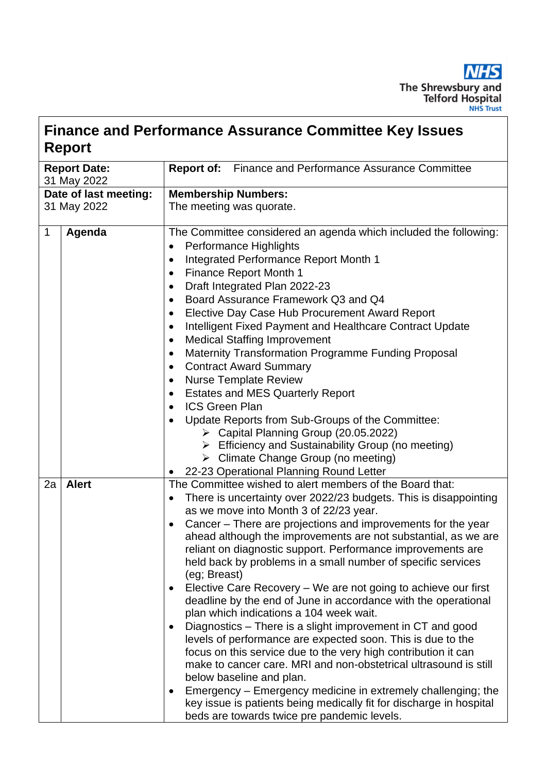

## **Finance and Performance Assurance Committee Key Issues Report**

| <b>Report Date:</b><br>31 May 2022 | <b>Report of:</b><br>Finance and Performance Assurance Committee                                                                                                                                                                                                                                                                                                                                                                                                                                                                                                                                                                                                                                                                                                                                                                                                                                                                                                                                                                                                                                                                                                                                              |  |  |  |  |
|------------------------------------|---------------------------------------------------------------------------------------------------------------------------------------------------------------------------------------------------------------------------------------------------------------------------------------------------------------------------------------------------------------------------------------------------------------------------------------------------------------------------------------------------------------------------------------------------------------------------------------------------------------------------------------------------------------------------------------------------------------------------------------------------------------------------------------------------------------------------------------------------------------------------------------------------------------------------------------------------------------------------------------------------------------------------------------------------------------------------------------------------------------------------------------------------------------------------------------------------------------|--|--|--|--|
| Date of last meeting:              | <b>Membership Numbers:</b>                                                                                                                                                                                                                                                                                                                                                                                                                                                                                                                                                                                                                                                                                                                                                                                                                                                                                                                                                                                                                                                                                                                                                                                    |  |  |  |  |
| 31 May 2022                        | The meeting was quorate.                                                                                                                                                                                                                                                                                                                                                                                                                                                                                                                                                                                                                                                                                                                                                                                                                                                                                                                                                                                                                                                                                                                                                                                      |  |  |  |  |
|                                    |                                                                                                                                                                                                                                                                                                                                                                                                                                                                                                                                                                                                                                                                                                                                                                                                                                                                                                                                                                                                                                                                                                                                                                                                               |  |  |  |  |
| $\mathbf 1$<br>Agenda              | The Committee considered an agenda which included the following:<br>Performance Highlights<br>$\bullet$<br>Integrated Performance Report Month 1<br><b>Finance Report Month 1</b><br>$\bullet$<br>Draft Integrated Plan 2022-23<br>٠<br>Board Assurance Framework Q3 and Q4<br>$\bullet$<br>Elective Day Case Hub Procurement Award Report<br>Intelligent Fixed Payment and Healthcare Contract Update<br><b>Medical Staffing Improvement</b><br>$\bullet$<br>Maternity Transformation Programme Funding Proposal<br>٠<br><b>Contract Award Summary</b><br>٠<br><b>Nurse Template Review</b><br>٠<br><b>Estates and MES Quarterly Report</b><br>٠<br><b>ICS Green Plan</b><br>$\bullet$<br>Update Reports from Sub-Groups of the Committee:<br>> Capital Planning Group (20.05.2022)<br>$\triangleright$ Efficiency and Sustainability Group (no meeting)<br>> Climate Change Group (no meeting)                                                                                                                                                                                                                                                                                                              |  |  |  |  |
|                                    |                                                                                                                                                                                                                                                                                                                                                                                                                                                                                                                                                                                                                                                                                                                                                                                                                                                                                                                                                                                                                                                                                                                                                                                                               |  |  |  |  |
| 2a<br><b>Alert</b>                 | 22-23 Operational Planning Round Letter<br>$\bullet$<br>The Committee wished to alert members of the Board that:<br>There is uncertainty over 2022/23 budgets. This is disappointing<br>$\bullet$<br>as we move into Month 3 of 22/23 year.<br>Cancer – There are projections and improvements for the year<br>$\bullet$<br>ahead although the improvements are not substantial, as we are<br>reliant on diagnostic support. Performance improvements are<br>held back by problems in a small number of specific services<br>(eg; Breast)<br>Elective Care Recovery - We are not going to achieve our first<br>deadline by the end of June in accordance with the operational<br>plan which indications a 104 week wait.<br>Diagnostics – There is a slight improvement in CT and good<br>levels of performance are expected soon. This is due to the<br>focus on this service due to the very high contribution it can<br>make to cancer care. MRI and non-obstetrical ultrasound is still<br>below baseline and plan.<br>Emergency – Emergency medicine in extremely challenging; the<br>key issue is patients being medically fit for discharge in hospital<br>beds are towards twice pre pandemic levels. |  |  |  |  |